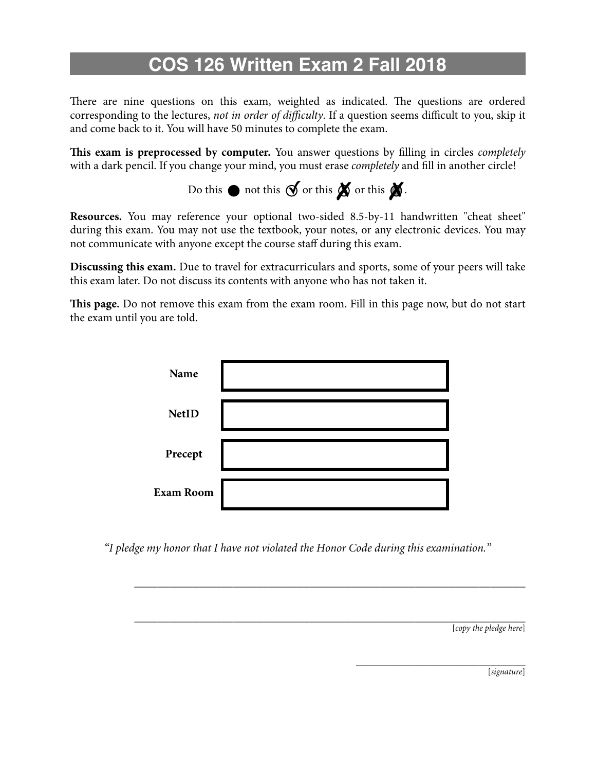# **COS 126 Written Exam 2 Fall 2018**

There are nine questions on this exam, weighted as indicated. The questions are ordered corresponding to the lectures, *not in order of di*ffi*culty*. If a question seems difficult to you, skip it and come back to it. You will have 50 minutes to complete the exam.

**Tis exam is preprocessed by computer.** You answer questions by flling in circles *completely* with a dark pencil. If you change your mind, you must erase *completely* and fll in another circle!

Do this  $\bullet$  not this  $\bullet$  or this  $\bullet$ .

**Resources.** You may reference your optional two-sided 8.5-by-11 handwritten "cheat sheet" during this exam. You may not use the textbook, your notes, or any electronic devices. You may not communicate with anyone except the course staff during this exam.

**Discussing this exam.** Due to travel for extracurriculars and sports, some of your peers will take this exam later. Do not discuss its contents with anyone who has not taken it.

**Tis page.** Do not remove this exam from the exam room. Fill in this page now, but do not start the exam until you are told.



*"I pledge my honor that I have not violated the Honor Code during this examination."* 

*\_\_\_\_\_\_\_\_\_\_\_\_\_\_\_\_\_\_\_\_\_\_\_\_\_\_\_\_\_\_\_\_\_\_\_\_\_\_\_\_\_\_\_\_\_\_\_\_\_\_\_\_\_\_\_\_\_\_\_\_\_\_\_\_\_\_\_*

*\_\_\_\_\_\_\_\_\_\_\_\_\_\_\_\_\_\_\_\_\_\_\_\_\_\_\_\_\_\_\_\_\_\_\_\_\_\_\_\_\_\_\_\_\_\_\_\_\_\_\_\_\_\_\_\_\_\_\_\_\_\_\_\_\_\_\_* [*copy the pledge here*]

> *\_\_\_\_\_\_\_\_\_\_\_\_\_\_\_\_\_\_\_\_\_\_\_\_\_\_\_\_\_* [*signature*]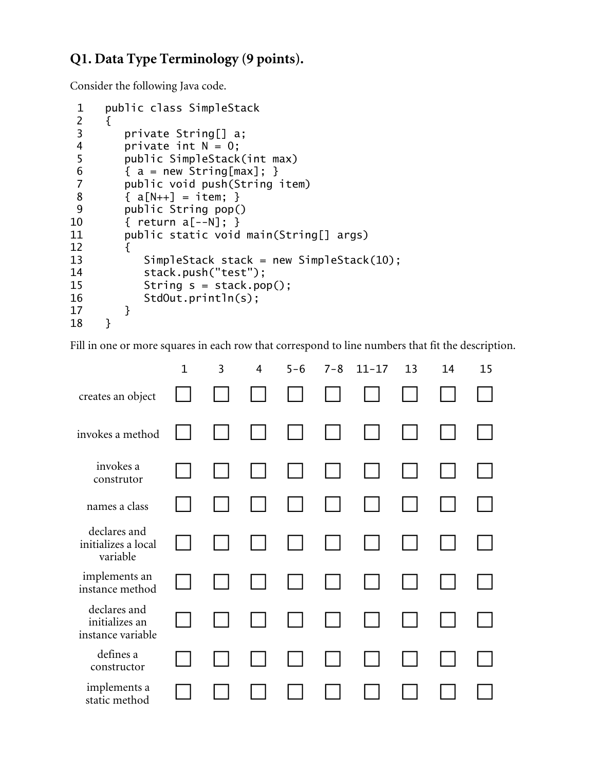### **Q1. Data Type Terminology (9 points).**

Consider the following Java code.

```
1 public class SimpleStack 
2 \{3 private String[] a;<br>4 private int N = 0:
 4 private int N = 0;<br>5 public SimpleStack
        public SimpleStack(int max)
 6 \qquad \{ a = new String(max]; \} 7 public void push(String item) 
 8 { a[N++] = item; } 
 9 public String pop() 
10 { return a[--N]; } 
11 public static void main(String[] args) 
12 { 
13 SimpleStack stack = new SimpleStack(10);
14 stack.push("test"); 
15 String s = stack.pop();
16 StdOut.println(s); 
\begin{matrix} 17 & 3 \\ 18 & 3 \end{matrix}18 }
```
Fill in one or more squares in each row that correspond to line numbers that fit the description.

|                                                     | $\mathbf{1}$ | 3 | $\overline{4}$ | $5 - 6$ | $7 - 8$ | $11 - 17$ | 13 | 14 | 15 |
|-----------------------------------------------------|--------------|---|----------------|---------|---------|-----------|----|----|----|
| creates an object                                   |              |   |                |         |         |           |    |    |    |
| invokes a method                                    |              |   |                |         |         |           |    |    |    |
| invokes a<br>construtor                             |              |   |                |         |         |           |    |    |    |
| names a class                                       |              |   |                |         |         |           |    |    |    |
| declares and<br>initializes a local<br>variable     |              |   |                |         |         |           |    |    |    |
| implements an<br>instance method                    |              |   |                |         |         |           |    |    |    |
| declares and<br>initializes an<br>instance variable |              |   |                |         |         |           |    |    |    |
| defines a<br>constructor                            |              |   |                |         |         |           |    |    |    |
| implements a<br>static method                       |              |   |                |         |         |           |    |    |    |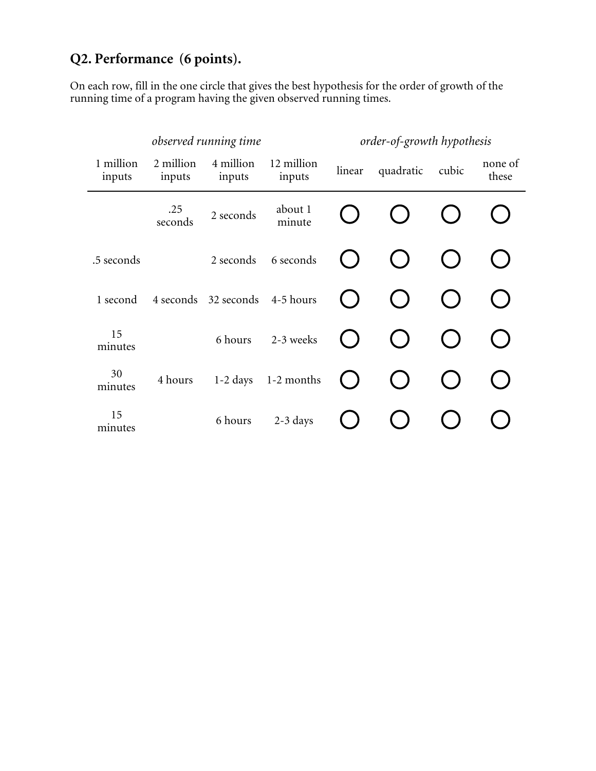## **Q2. Performance (6 points).**

On each row, fill in the one circle that gives the best hypothesis for the order of growth of the running time of a program having the given observed running times.

| observed running time |                     |                      |                      | order-of-growth hypothesis |           |       |                  |
|-----------------------|---------------------|----------------------|----------------------|----------------------------|-----------|-------|------------------|
| 1 million<br>inputs   | 2 million<br>inputs | 4 million<br>inputs  | 12 million<br>inputs | linear                     | quadratic | cubic | none of<br>these |
|                       | .25<br>seconds      | 2 seconds            | about 1<br>minute    |                            |           |       |                  |
| .5 seconds            |                     | 2 seconds            | 6 seconds            |                            |           |       |                  |
| 1 second              | 4 seconds           | 32 seconds 4-5 hours |                      |                            |           |       |                  |
| 15<br>minutes         |                     | 6 hours              | 2-3 weeks            |                            |           |       |                  |
| 30<br>minutes         | 4 hours             | $1-2$ days           | 1-2 months           |                            |           |       |                  |
| 15<br>minutes         |                     | 6 hours              | $2-3$ days           |                            |           |       |                  |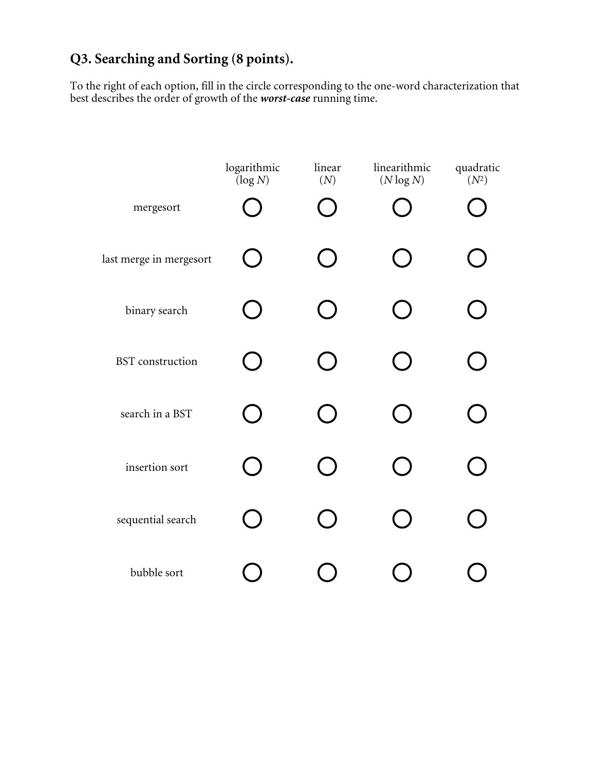## **Q3. Searching and Sorting (8 points).**

To the right of each option, fill in the circle corresponding to the one-word characterization that best describes the order of growth of the *worst-case* running time.

|                         | logarithmic<br>$(\log N)$ | linear<br>(N) | linearithmic<br>$(N \log N)$ | quadratic<br>$(N^2)$ |
|-------------------------|---------------------------|---------------|------------------------------|----------------------|
| mergesort               |                           |               |                              |                      |
| last merge in mergesort |                           |               |                              |                      |
| binary search           |                           |               |                              |                      |
| <b>BST</b> construction |                           |               |                              |                      |
| search in a BST         |                           |               |                              |                      |
| insertion sort          |                           |               |                              |                      |
| sequential search       |                           |               |                              |                      |
| bubble sort             |                           |               |                              |                      |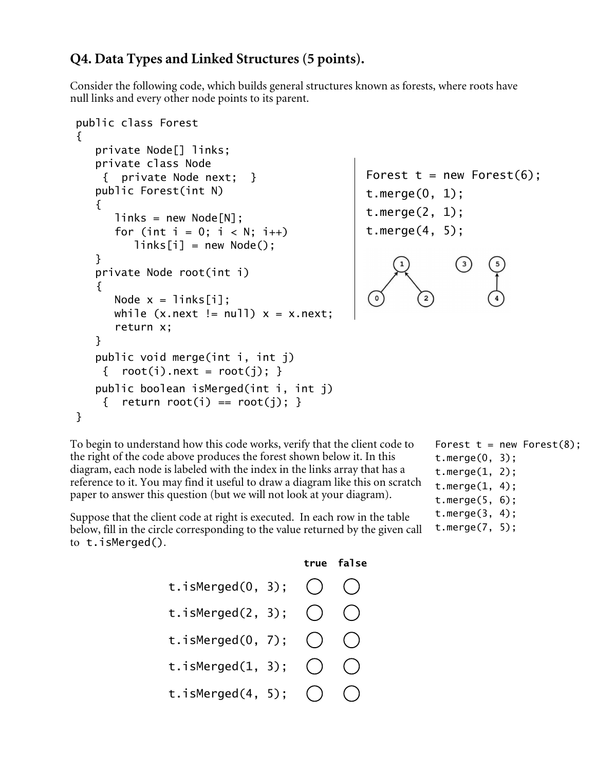### **Q4. Data Types and Linked Structures (5 points).**

Consider the following code, which builds general structures known as forests, where roots have null links and every other node points to its parent.

```
public class Forest 
{
    private Node[] links; 
    private class Node
     { private Node next; } 
    public Forest(int N) 
    { 
      links = new Node[N];for (int i = 0; i < N; i++)links[i] = new Node(); } 
    private Node root(int i)
   \{\circNode x = 1inks[i];
      while (x.next != null) x = x.next; return x; 
    } 
    public void merge(int i, int j)
    { root(i) . next = root(j); }
    public boolean isMerged(int i, int j)
    { return root(i) == root(i); }
}
```
Forest  $t = new Forest(6)$ ; t.merge(0, 1); t.merge(2, 1); t.merge(4, 5);

To begin to understand how this code works, verify that the client code to the right of the code above produces the forest shown below it. In this diagram, each node is labeled with the index in the links array that has a reference to it. You may find it useful to draw a diagram like this on scratch paper to answer this question (but we will not look at your diagram).

Suppose that the client code at right is executed. In each row in the table below, fill in the circle corresponding to the value returned by the given call to t.isMerged().

```
true false
t.isMerged(0, 3);
t.isMerged(2, 3);
                     \bigcapt.isMerged(0, 7);
                     \bigcirct.isMerged(1, 3);
t.isMerged(4, 5);
```
Forest  $t = new Forest(8)$ ; t.merge(0, 3); t.merge(1, 2); t.merge(1, 4); t.merge(5, 6);

```
t.merge(3, 4);
```

```
t.merge(7, 5);
```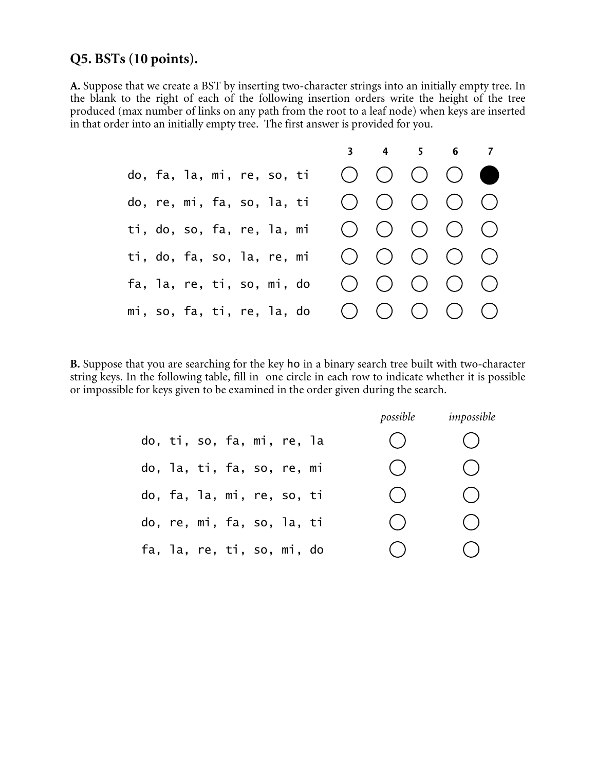#### **Q5. BSTs (10 points).**

**A.** Suppose that we create a BST by inserting two-character strings into an initially empty tree. In the blank to the right of each of the following insertion orders write the height of the tree produced (max number of links on any path from the root to a leaf node) when keys are inserted in that order into an initially empty tree. The first answer is provided for you.



**B.** Suppose that you are searching for the key ho in a binary search tree built with two-character string keys. In the following table, fill in one circle in each row to indicate whether it is possible or impossible for keys given to be examined in the order given during the search.

|                            | possible | impossible                             |
|----------------------------|----------|----------------------------------------|
| do, ti, so, fa, mi, re, la | $(\ )$   | $\hspace{0.15cm}$                      |
| do, la, ti, fa, so, re, mi | ( )      | ( )                                    |
| do, fa, la, mi, re, so, ti | ( )      | ( )                                    |
| do, re, mi, fa, so, la, ti | ( )      | ( )                                    |
| fa, la, re, ti, so, mi, do | ( )      | $\begin{pmatrix} 1 \\ 1 \end{pmatrix}$ |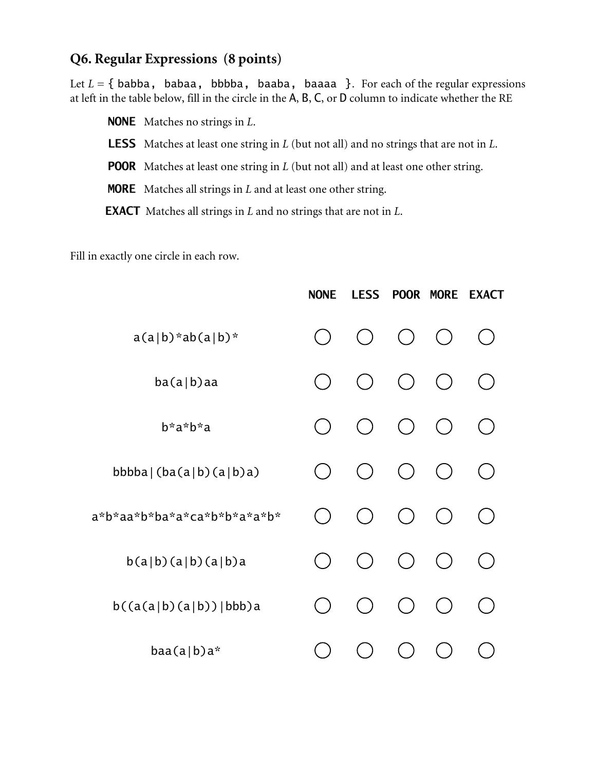### **Q6. Regular Expressions (8 points)**

Let  $L = \{$  babba, babaa, bbbba, baaba, baaaa  $\}$ . For each of the regular expressions at left in the table below, fill in the circle in the A, B, C, or D column to indicate whether the RE

 NONE Matches no strings in *L*. LESS Matches at least one string in *L* (but not all) and no strings that are not in *L*. **POOR** Matches at least one string in *L* (but not all) and at least one other string. MORE Matches all strings in *L* and at least one other string.

EXACT Matches all strings in *L* and no strings that are not in *L*.

Fill in exactly one circle in each row.

|                             | <b>NONE</b> | <b>LESS</b> | <b>POOR</b> | <b>MORE</b> | <b>EXACT</b> |
|-----------------------------|-------------|-------------|-------------|-------------|--------------|
| $a(a b) * ab(a b) *$        |             |             | $($ )       |             |              |
| ba(a b)aa                   |             |             | $($ )       |             |              |
| b*a*b*a                     |             |             | $($ )       |             |              |
| bbbba  $(ba(a b)(a b)a)$    |             |             | ( )         |             |              |
| a*b*aa*b*ba*a*ca*b*b*a*a*b* |             |             | ( )         |             |              |
| b(a b)(a b)(a b)a           |             |             | $($ )       |             |              |
| $b((a(a b)(a b)) bbb)$ a    |             |             |             |             |              |
| $baa(a b)a*$                |             |             |             |             |              |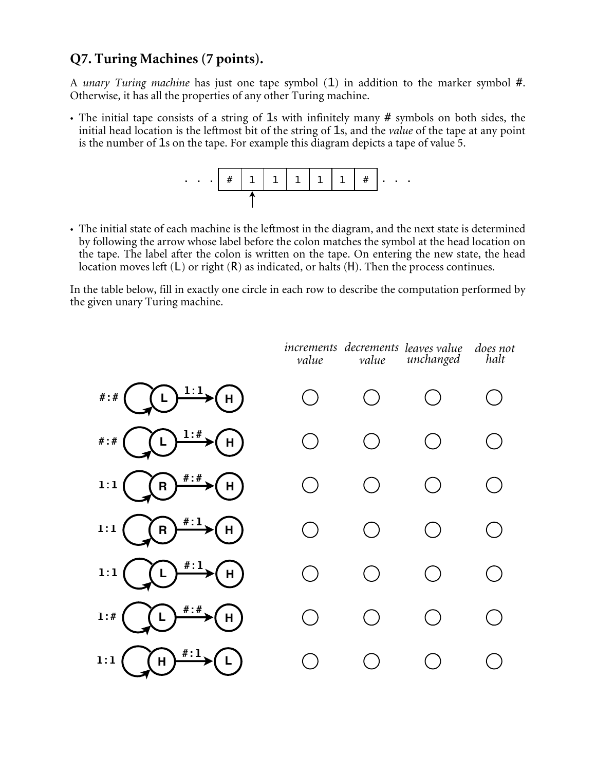#### **Q7. Turing Machines (7 points).**

A *unary Turing machine* has just one tape symbol (1) in addition to the marker symbol #. Otherwise, it has all the properties of any other Turing machine.

• The initial tape consists of a string of 1s with infinitely many # symbols on both sides, the initial head location is the leftmost bit of the string of 1s, and the *value* of the tape at any point is the number of 1s on the tape. For example this diagram depicts a tape of value 5.



• The initial state of each machine is the leftmost in the diagram, and the next state is determined by following the arrow whose label before the colon matches the symbol at the head location on the tape. The label after the colon is written on the tape. On entering the new state, the head location moves left (L) or right (R) as indicated, or halts (H). Then the process continues.

In the table below, fill in exactly one circle in each row to describe the computation performed by the given unary Turing machine.

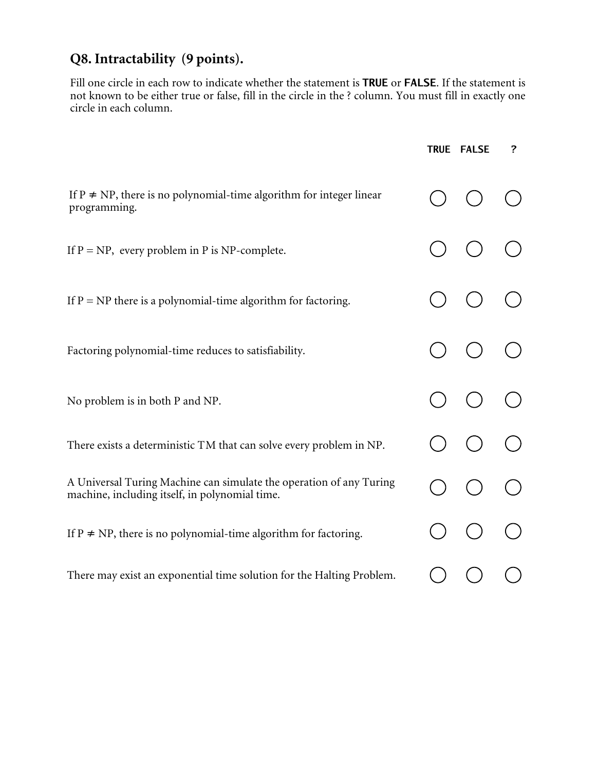## **Q8. Intractability (9 points).**

Fill one circle in each row to indicate whether the statement is TRUE or FALSE. If the statement is not known to be either true or false, fill in the circle in the ? column. You must fill in exactly one circle in each column.

|                                                                                                                       | TRUE FALSE | ? |
|-----------------------------------------------------------------------------------------------------------------------|------------|---|
| If $P \neq NP$ , there is no polynomial-time algorithm for integer linear<br>programming.                             |            |   |
| If $P = NP$ , every problem in P is NP-complete.                                                                      |            |   |
| If $P = NP$ there is a polynomial-time algorithm for factoring.                                                       |            |   |
| Factoring polynomial-time reduces to satisfiability.                                                                  |            |   |
| No problem is in both P and NP.                                                                                       |            |   |
| There exists a deterministic TM that can solve every problem in NP.                                                   |            |   |
| A Universal Turing Machine can simulate the operation of any Turing<br>machine, including itself, in polynomial time. |            |   |
| If $P \neq NP$ , there is no polynomial-time algorithm for factoring.                                                 |            |   |
| There may exist an exponential time solution for the Halting Problem.                                                 |            |   |